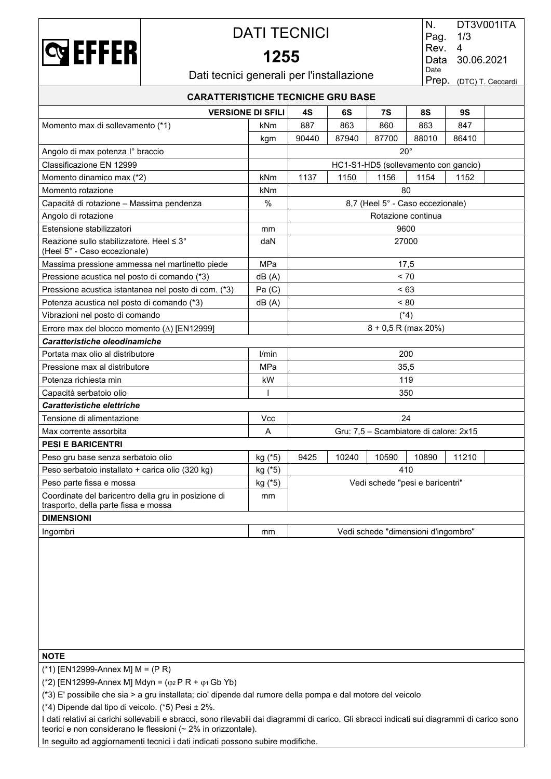

## DATI TECNICI

## **1255**

| N.   | DT3V001ITA              |
|------|-------------------------|
| Pag. | 1/3                     |
| Rev. | 4                       |
| Data | 30.06.2021              |
| Date |                         |
|      | Prep. (DTC) T. Ceccardi |
|      |                         |

Dati tecnici generali per l'installazione

| <b>CARATTERISTICHE TECNICHE GRU BASE</b>                                                    |              |                                     |       |                                        |                    |       |  |  |  |
|---------------------------------------------------------------------------------------------|--------------|-------------------------------------|-------|----------------------------------------|--------------------|-------|--|--|--|
| <b>VERSIONE DI SFILI</b><br>6S<br>7S<br>8S<br>9S<br>4S                                      |              |                                     |       |                                        |                    |       |  |  |  |
| Momento max di sollevamento (*1)                                                            | kNm          | 887                                 | 863   | 860                                    | 863                | 847   |  |  |  |
|                                                                                             | kgm          | 90440                               | 87940 | 87700                                  | 88010              | 86410 |  |  |  |
| Angolo di max potenza l° braccio                                                            |              |                                     |       | $20^{\circ}$                           |                    |       |  |  |  |
| Classificazione EN 12999                                                                    |              |                                     |       | HC1-S1-HD5 (sollevamento con gancio)   |                    |       |  |  |  |
| Momento dinamico max (*2)                                                                   | kNm          | 1137                                | 1150  | 1156                                   | 1154               | 1152  |  |  |  |
| Momento rotazione                                                                           | kNm          |                                     |       |                                        | 80                 |       |  |  |  |
| Capacità di rotazione - Massima pendenza                                                    | $\%$         |                                     |       | 8,7 (Heel 5° - Caso eccezionale)       |                    |       |  |  |  |
| Angolo di rotazione                                                                         |              |                                     |       |                                        | Rotazione continua |       |  |  |  |
| Estensione stabilizzatori                                                                   | mm           |                                     |       |                                        | 9600               |       |  |  |  |
| Reazione sullo stabilizzatore. Heel ≤ 3°<br>(Heel 5° - Caso eccezionale)                    | daN          |                                     |       |                                        | 27000              |       |  |  |  |
| Massima pressione ammessa nel martinetto piede                                              | MPa          |                                     |       |                                        | 17,5               |       |  |  |  |
| Pressione acustica nel posto di comando (*3)                                                | dB(A)        |                                     |       |                                        | < 70               |       |  |  |  |
| Pressione acustica istantanea nel posto di com. (*3)                                        | Pa(C)        |                                     |       |                                        | < 63               |       |  |  |  |
| Potenza acustica nel posto di comando (*3)                                                  | dB(A)        |                                     |       |                                        | ~180               |       |  |  |  |
| Vibrazioni nel posto di comando                                                             |              | $(*4)$                              |       |                                        |                    |       |  |  |  |
| Errore max del blocco momento (A) [EN12999]                                                 |              |                                     |       | $8 + 0.5$ R (max 20%)                  |                    |       |  |  |  |
| Caratteristiche oleodinamiche                                                               |              |                                     |       |                                        |                    |       |  |  |  |
| Portata max olio al distributore                                                            | l/min        |                                     |       | 200                                    |                    |       |  |  |  |
| Pressione max al distributore                                                               | MPa          |                                     |       |                                        | 35.5               |       |  |  |  |
| Potenza richiesta min                                                                       | kW           |                                     |       |                                        | 119                |       |  |  |  |
| Capacità serbatoio olio                                                                     | $\mathsf{I}$ |                                     |       |                                        | 350                |       |  |  |  |
| Caratteristiche elettriche                                                                  |              |                                     |       |                                        |                    |       |  |  |  |
| Tensione di alimentazione                                                                   | Vcc          |                                     |       |                                        | 24                 |       |  |  |  |
| Max corrente assorbita                                                                      | A            |                                     |       | Gru: 7,5 - Scambiatore di calore: 2x15 |                    |       |  |  |  |
| <b>PESI E BARICENTRI</b>                                                                    |              |                                     |       |                                        |                    |       |  |  |  |
| Peso gru base senza serbatoio olio                                                          | kg (*5)      | 9425                                | 10240 | 10590                                  | 10890              | 11210 |  |  |  |
| Peso serbatoio installato + carica olio (320 kg)                                            | kg (*5)      |                                     |       |                                        | 410                |       |  |  |  |
| Peso parte fissa e mossa                                                                    | kg (*5)      |                                     |       | Vedi schede "pesi e baricentri"        |                    |       |  |  |  |
| Coordinate del baricentro della gru in posizione di<br>trasporto, della parte fissa e mossa | mm           |                                     |       |                                        |                    |       |  |  |  |
| <b>DIMENSIONI</b>                                                                           |              |                                     |       |                                        |                    |       |  |  |  |
| Ingombri                                                                                    | mm           | Vedi schede "dimensioni d'ingombro" |       |                                        |                    |       |  |  |  |

### **NOTE**

(\*1) [EN12999-Annex M] M = (P R)

(\*2) [EN12999-Annex M] Mdyn =  $(\varphi_2 P R + \varphi_1 Gb Yb)$ 

(\*3) E' possibile che sia > a gru installata; cio' dipende dal rumore della pompa e dal motore del veicolo

(\*4) Dipende dal tipo di veicolo. (\*5) Pesi ± 2%.

I dati relativi ai carichi sollevabili e sbracci, sono rilevabili dai diagrammi di carico. Gli sbracci indicati sui diagrammi di carico sono teorici e non considerano le flessioni (~ 2% in orizzontale).

In seguito ad aggiornamenti tecnici i dati indicati possono subire modifiche.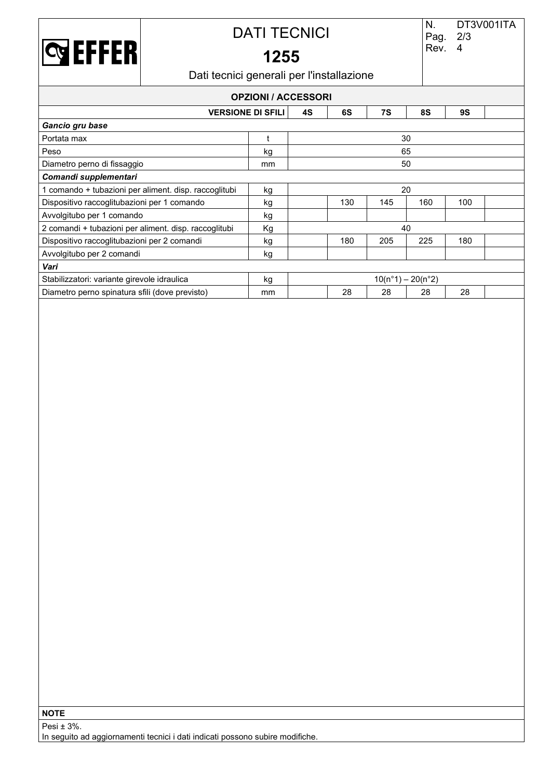

# DATI TECNICI

# **1255**

Dati tecnici generali per l'installazione

| <b>OPZIONI / ACCESSORI</b>                                    |    |    |     |     |                     |     |  |  |
|---------------------------------------------------------------|----|----|-----|-----|---------------------|-----|--|--|
| 6S<br>8S<br><b>9S</b><br><b>VERSIONE DI SFILI</b><br>4S<br>7S |    |    |     |     |                     |     |  |  |
| Gancio gru base                                               |    |    |     |     |                     |     |  |  |
| Portata max                                                   |    |    |     |     | 30                  |     |  |  |
| Peso                                                          | kg | 65 |     |     |                     |     |  |  |
| Diametro perno di fissaggio                                   | mm | 50 |     |     |                     |     |  |  |
| Comandi supplementari                                         |    |    |     |     |                     |     |  |  |
| 1 comando + tubazioni per aliment. disp. raccoglitubi         | kg | 20 |     |     |                     |     |  |  |
| Dispositivo raccoglitubazioni per 1 comando                   | kg |    | 130 | 145 | 160                 | 100 |  |  |
| Avvolgitubo per 1 comando                                     | kg |    |     |     |                     |     |  |  |
| 2 comandi + tubazioni per aliment. disp. raccoglitubi         | Кg |    |     |     | 40                  |     |  |  |
| Dispositivo raccoglitubazioni per 2 comandi                   | kg |    | 180 | 205 | 225                 | 180 |  |  |
| Avvolgitubo per 2 comandi                                     | kg |    |     |     |                     |     |  |  |
| Vari                                                          |    |    |     |     |                     |     |  |  |
| Stabilizzatori: variante girevole idraulica                   | kg |    |     |     | $10(n°1) - 20(n°2)$ |     |  |  |
| Diametro perno spinatura sfili (dove previsto)                | mm |    | 28  | 28  | 28                  | 28  |  |  |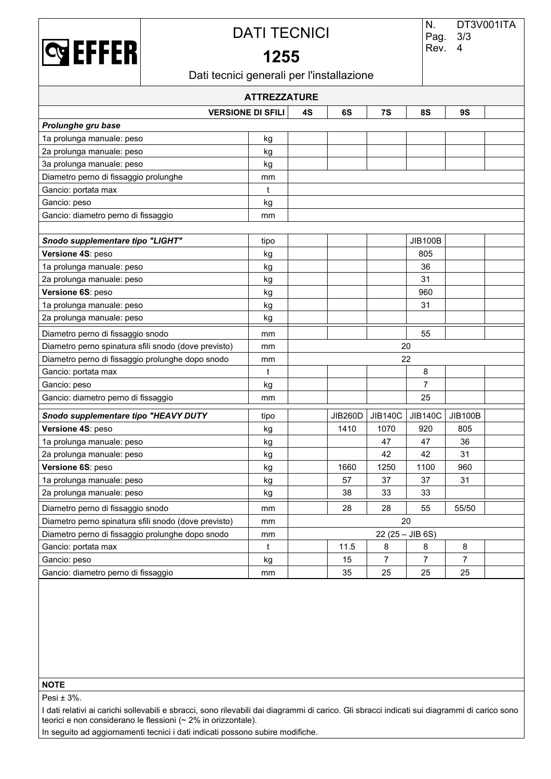

### DATI TECNICI

## **1255**

Dati tecnici generali per l'installazione

| <b>ATTREZZATURE</b>                                  |      |    |         |                |                   |                |  |  |  |
|------------------------------------------------------|------|----|---------|----------------|-------------------|----------------|--|--|--|
| <b>VERSIONE DI SFILI</b>                             |      | 4S | 6S      | 7S             | 8S                | <b>9S</b>      |  |  |  |
| Prolunghe gru base                                   |      |    |         |                |                   |                |  |  |  |
| 1a prolunga manuale: peso                            | kg   |    |         |                |                   |                |  |  |  |
| 2a prolunga manuale: peso                            | kg   |    |         |                |                   |                |  |  |  |
| 3a prolunga manuale: peso                            | kg   |    |         |                |                   |                |  |  |  |
| Diametro perno di fissaggio prolunghe                | mm   |    |         |                |                   |                |  |  |  |
| Gancio: portata max                                  | t    |    |         |                |                   |                |  |  |  |
| Gancio: peso                                         | kg   |    |         |                |                   |                |  |  |  |
| Gancio: diametro perno di fissaggio                  | mm   |    |         |                |                   |                |  |  |  |
|                                                      |      |    |         |                |                   |                |  |  |  |
| Snodo supplementare tipo "LIGHT"                     | tipo |    |         |                | <b>JIB100B</b>    |                |  |  |  |
| Versione 4S: peso                                    | kg   |    |         |                | 805               |                |  |  |  |
| 1a prolunga manuale: peso                            | kg   |    |         |                | 36                |                |  |  |  |
| 2a prolunga manuale: peso                            | kg   |    |         |                | 31                |                |  |  |  |
| Versione 6S: peso                                    | kg   |    |         |                | 960               |                |  |  |  |
| 1a prolunga manuale: peso                            | kg   |    |         |                | 31                |                |  |  |  |
| 2a prolunga manuale: peso                            | kg   |    |         |                |                   |                |  |  |  |
| Diametro perno di fissaggio snodo                    | mm   |    |         |                | 55                |                |  |  |  |
| Diametro perno spinatura sfili snodo (dove previsto) | mm   |    |         |                | 20                |                |  |  |  |
| Diametro perno di fissaggio prolunghe dopo snodo     | mm   |    |         |                | 22                |                |  |  |  |
| Gancio: portata max                                  | t    |    |         |                | 8                 |                |  |  |  |
| Gancio: peso                                         | kg   |    |         |                | $\overline{7}$    |                |  |  |  |
| Gancio: diametro perno di fissaggio                  | mm   |    |         |                | 25                |                |  |  |  |
| Snodo supplementare tipo "HEAVY DUTY                 | tipo |    | JIB260D | <b>JIB140C</b> | <b>JIB140C</b>    | <b>JIB100B</b> |  |  |  |
| Versione 4S: peso                                    | kg   |    | 1410    | 1070           | 920               | 805            |  |  |  |
| 1a prolunga manuale: peso                            | kg   |    |         | 47             | 47                | 36             |  |  |  |
| 2a prolunga manuale: peso                            | kg   |    |         | 42             | 42                | 31             |  |  |  |
| Versione 6S: peso                                    | kg   |    | 1660    | 1250           | 1100              | 960            |  |  |  |
| 1a prolunga manuale: peso                            | kg   |    | 57      | 37             | 37                | 31             |  |  |  |
| 2a prolunga manuale: peso                            | kg   |    | 38      | 33             | 33                |                |  |  |  |
| Diametro perno di fissaggio snodo                    | mm   |    | 28      | 28             | 55                | 55/50          |  |  |  |
| Diametro perno spinatura sfili snodo (dove previsto) | mm   |    |         |                | 20                |                |  |  |  |
| Diametro perno di fissaggio prolunghe dopo snodo     | mm   |    |         |                | $22(25 - JIB 6S)$ |                |  |  |  |
| Gancio: portata max                                  | t    |    | 11.5    | 8              | $\bf 8$           | 8              |  |  |  |
| Gancio: peso                                         | kg   |    | 15      | $\overline{7}$ | $\overline{7}$    | $\overline{7}$ |  |  |  |
| Gancio: diametro perno di fissaggio                  | mm   |    | 35      | 25             | 25                | 25             |  |  |  |

### **NOTE**

Pesi ± 3%.

I dati relativi ai carichi sollevabili e sbracci, sono rilevabili dai diagrammi di carico. Gli sbracci indicati sui diagrammi di carico sono teorici e non considerano le flessioni (~ 2% in orizzontale).

In seguito ad aggiornamenti tecnici i dati indicati possono subire modifiche.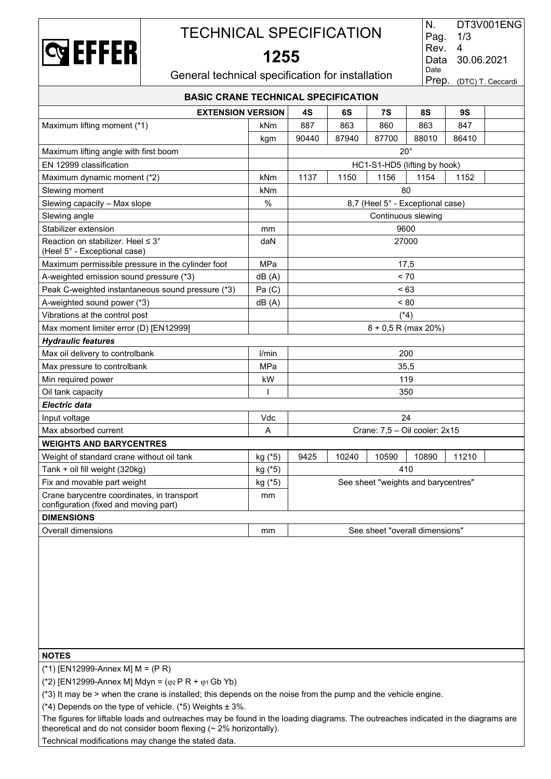

# TECHNICAL SPECIFICATION

**1255**

| N.   | DT3V001ENG              |
|------|-------------------------|
| Pag. | 1/3                     |
| Rev. | 4                       |
| Data | 30.06.2021              |
| Date |                         |
|      | Prep. (DTC) T. Ceccardi |

General technical specification for installation

| <b>BASIC CRANE TECHNICAL SPECIFICATION</b>                                          |              |       |       |                                     |       |           |  |  |
|-------------------------------------------------------------------------------------|--------------|-------|-------|-------------------------------------|-------|-----------|--|--|
| <b>EXTENSION VERSION</b>                                                            |              | 4S    | 6S    | 7S                                  | 8S    | <b>9S</b> |  |  |
| Maximum lifting moment (*1)                                                         | <b>kNm</b>   | 887   | 863   | 860                                 | 863   | 847       |  |  |
|                                                                                     | kgm          | 90440 | 87940 | 87700                               | 88010 | 86410     |  |  |
| Maximum lifting angle with first boom                                               |              |       |       | $20^{\circ}$                        |       |           |  |  |
| EN 12999 classification                                                             |              |       |       | HC1-S1-HD5 (lifting by hook)        |       |           |  |  |
| Maximum dynamic moment (*2)                                                         | kNm          | 1137  | 1150  | 1156                                | 1154  | 1152      |  |  |
| Slewing moment                                                                      | kNm          |       |       | 80                                  |       |           |  |  |
| Slewing capacity - Max slope                                                        | %            |       |       | 8,7 (Heel 5° - Exceptional case)    |       |           |  |  |
| Slewing angle                                                                       |              |       |       | Continuous slewing                  |       |           |  |  |
| Stabilizer extension                                                                | mm           |       |       | 9600                                |       |           |  |  |
| Reaction on stabilizer. Heel $\leq 3^{\circ}$<br>(Heel 5° - Exceptional case)       | daN          |       |       | 27000                               |       |           |  |  |
| Maximum permissible pressure in the cylinder foot                                   | MPa          |       |       |                                     | 17,5  |           |  |  |
| A-weighted emission sound pressure (*3)                                             | dB(A)        |       |       |                                     | < 70  |           |  |  |
| Peak C-weighted instantaneous sound pressure (*3)                                   | Pa(C)        |       |       |                                     | < 63  |           |  |  |
| A-weighted sound power (*3)                                                         | dB(A)        |       |       |                                     | ~< 80 |           |  |  |
| Vibrations at the control post                                                      |              |       |       | $(*4)$                              |       |           |  |  |
| Max moment limiter error (D) [EN12999]                                              |              |       |       | 8 + 0,5 R (max 20%)                 |       |           |  |  |
| <b>Hydraulic features</b>                                                           |              |       |       |                                     |       |           |  |  |
| Max oil delivery to controlbank                                                     | l/min        |       |       | 200                                 |       |           |  |  |
| Max pressure to controlbank                                                         | <b>MPa</b>   |       |       | 35,5                                |       |           |  |  |
| Min required power                                                                  | kW           |       |       | 119                                 |       |           |  |  |
| Oil tank capacity                                                                   | $\mathsf{I}$ |       |       | 350                                 |       |           |  |  |
| Electric data                                                                       |              |       |       |                                     |       |           |  |  |
| Input voltage                                                                       | <b>Vdc</b>   |       |       |                                     | 24    |           |  |  |
| Max absorbed current                                                                | A            |       |       | Crane: 7,5 - Oil cooler: 2x15       |       |           |  |  |
| <b>WEIGHTS AND BARYCENTRES</b>                                                      |              |       |       |                                     |       |           |  |  |
| Weight of standard crane without oil tank                                           | kg (*5)      | 9425  | 10240 | 10590                               | 10890 | 11210     |  |  |
| Tank + oil fill weight (320kg)                                                      | kg (*5)      |       |       | 410                                 |       |           |  |  |
| Fix and movable part weight                                                         | kg (*5)      |       |       | See sheet "weights and barycentres" |       |           |  |  |
| Crane barycentre coordinates, in transport<br>configuration (fixed and moving part) | mm           |       |       |                                     |       |           |  |  |
| <b>DIMENSIONS</b>                                                                   |              |       |       |                                     |       |           |  |  |
| Overall dimensions                                                                  | mm           |       |       | See sheet "overall dimensions"      |       |           |  |  |

#### **NOTES**

(\*1) [EN12999-Annex M] M = (P R)

(\*2) [EN12999-Annex M] Mdyn =  $(\varphi_2 P R + \varphi_1 Gb Yb)$ 

(\*3) It may be > when the crane is installed; this depends on the noise from the pump and the vehicle engine.

 $(*)$  Depends on the type of vehicle.  $(*)$  Weights  $± 3\%$ .

The figures for liftable loads and outreaches may be found in the loading diagrams. The outreaches indicated in the diagrams are theoretical and do not consider boom flexing ( $\sim$  2% horizontally).

Technical modifications may change the stated data.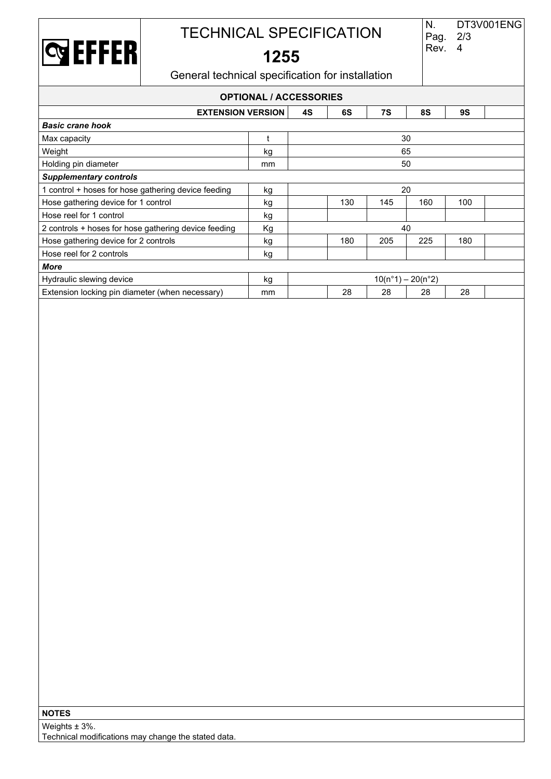

# TECHNICAL SPECIFICATION

# **1255**

Pag. 2/3 Rev. 4

General technical specification for installation

| <b>OPTIONAL / ACCESSORIES</b>                                        |    |                     |     |     |     |     |  |  |  |
|----------------------------------------------------------------------|----|---------------------|-----|-----|-----|-----|--|--|--|
| <b>EXTENSION VERSION</b><br>6S<br>7S<br><b>8S</b><br><b>9S</b><br>4S |    |                     |     |     |     |     |  |  |  |
| <b>Basic crane hook</b>                                              |    |                     |     |     |     |     |  |  |  |
| Max capacity                                                         |    |                     |     |     | 30  |     |  |  |  |
| Weight                                                               | kg | 65                  |     |     |     |     |  |  |  |
| Holding pin diameter                                                 | mm | 50                  |     |     |     |     |  |  |  |
| <b>Supplementary controls</b>                                        |    |                     |     |     |     |     |  |  |  |
| 1 control + hoses for hose gathering device feeding                  | kg | 20                  |     |     |     |     |  |  |  |
| Hose gathering device for 1 control                                  | kg |                     | 130 | 145 | 160 | 100 |  |  |  |
| Hose reel for 1 control                                              | kg |                     |     |     |     |     |  |  |  |
| 2 controls + hoses for hose gathering device feeding                 | Кg | 40                  |     |     |     |     |  |  |  |
| Hose gathering device for 2 controls                                 | kg |                     | 180 | 205 | 225 | 180 |  |  |  |
| Hose reel for 2 controls                                             | kg |                     |     |     |     |     |  |  |  |
| More                                                                 |    |                     |     |     |     |     |  |  |  |
| Hydraulic slewing device                                             | kg | $10(n°1) - 20(n°2)$ |     |     |     |     |  |  |  |
| Extension locking pin diameter (when necessary)                      | mm |                     | 28  | 28  | 28  | 28  |  |  |  |